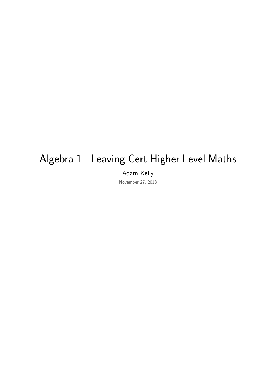# Algebra 1 - Leaving Cert Higher Level Maths

Adam Kelly

November 27, 2018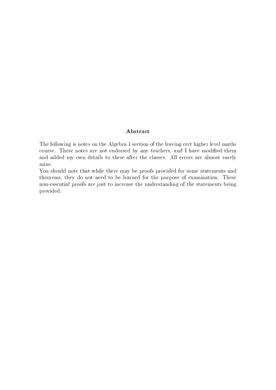### Abstract

The following is notes on the Algebra 1 section of the leaving cert higher level maths course. These notes are not endorsed by any teachers, and I have modified them and added my own details to these after the classes. All errors are almost surely mine.

You should note that while there may be proofs provided for some statements and theorems, they do not need to be learned for the purpose of examination. These non-essential proofs are just to increase the understanding of the statements being provided.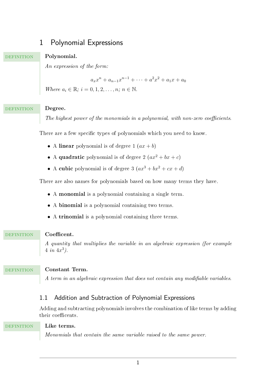# 1 Polynomial Expressions

# **DEFINITION**

# **Polynomial.**

An expression of the form:

 $a_x x^n + a_{n-1} x^{n-1} + \cdots + a^2 x^2 + a_1 x + a_0$ 

*Where*  $a_i \in \mathbb{R}$ ;  $i = 0, 1, 2, ..., n$ ;  $n \in \mathbb{N}$ .

#### **Degree. DEFINITION**

The highest power of the monomials in a polynomial, with non-zero coefficients.

There are a few specific types of polynomials which you need to know.

- A linear polynomial is of degree  $1 (ax + b)$
- A quadratic polynomial is of degree  $2 (ax^2 + bx + c)$
- A cubic polynomial is of degree  $3 (ax^3 + bx^2 + cx + d)$

There are also names for polynomials based on how many terms they have.

- A monomial is a polynomial containing a single term.
- A binomial is a polynomial containing two terms.
- A trinomial is a polynomial containing three terms.

#### **Coefficent. DEFINITION**

A quantity that multiplies the variable in an algebraic expression (for example  $4 \in \{4x^3\}.$ 

### **DEFINITION**

# **Constant Term.**

A term in an algebraic expression that does not contain any modifiable variables.

# 1.1 Addition and Subtraction of Polynomial Expressions

Adding and subtracting polynomials involves the combination of like terms by adding their coefficents.

#### **Like terms. DEFINITION**

Monomials that contain the same variable raised to the same power.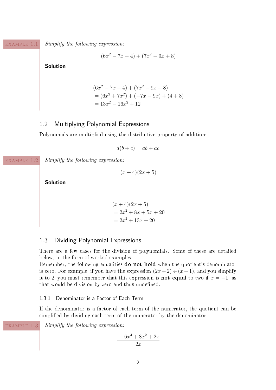example 1.1

*Simplify the following expression:*

$$
(6x^2 - 7x + 4) + (7x^2 - 9x + 8)
$$

**Solution**

$$
(6x2 - 7x + 4) + (7x2 - 9x + 8)
$$
  
= (6x<sup>2</sup> + 7x<sup>2</sup>) + (-7x - 9x) + (4 + 8)  
= 13x<sup>2</sup> - 16x<sup>2</sup> + 12

# 1.2 Multiplying Polynomial Expressions

Polynomials are multiplied using the distributive property of addition:

$$
a(b+c) = ab + ac
$$

example 1.2

*Simplify the following expression:*

 $(x+4)(2x+5)$ 

**Solution**

$$
(x+4)(2x+5)
$$
  
= 2x<sup>2</sup> + 8x + 5x + 20  
= 2x<sup>2</sup> + 13x + 20

# 1.3 Dividing Polynomial Expressions

There are a few cases for the division of polynomials. Some of these are detailed below, in the form of worked examples.

Remember, the following equalities do not hold when the quotient's denominator is zero. For example, if you have the expression  $(2x+2) \div (x+1)$ , and you simplify it to 2, you must remember that this expression is **not equal** to two if  $x = -1$ , as that would be division by zero and thus undefined.

### 1.3.1 Denominator is a Factor of Each Term

If the denominator is a factor of each term of the numerator, the quotient can be simplified by dividing each term of the numerator by the denominator.

example 1.3

*Simplify the following expression:*

$$
\frac{-16x^4 + 8x^2 + 2x}{2x}
$$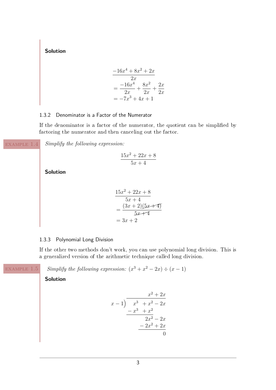**Solution**

$$
\frac{-16x^4 + 8x^2 + 2x}{2x}
$$
  
= 
$$
\frac{-16x^4}{2x} + \frac{8x^2}{2x} + \frac{2x}{2x}
$$
  
= 
$$
-7x^3 + 4x + 1
$$

# 1.3.2 Denominator is a Factor of the Numerator

If the denominator is a factor of the numerator, the quotient can be simplied by factoring the numerator and then canceling out the factor.

example 1.4

*Simplify the following expression:*

$$
\frac{15x^2 + 22x + 8}{5x + 4}
$$

**Solution**

$$
\frac{15x^2 + 22x + 8}{5x + 4} = \frac{(3x + 2)(5x + 4)}{5x + 4} = 3x + 2
$$

### <span id="page-4-0"></span>1.3.3 Polynomial Long Division

If the other two methods don't work, you can use polynomial long division. This is a generalized version of the arithmetic technique called long division.

example 1.5

*Simplify the following expression:*  $(x^3 + x^2 - 2x) \div (x - 1)$ 

$$
\begin{array}{r} x^2 + 2x \\
x - 1 \overline{\smash{\big)}\ x^3 + x^2 - 2x} \\
\underline{-x^3 + x^2} \\
2x^2 - 2x \\
\underline{-2x^2 + 2x} \\
0\n\end{array}
$$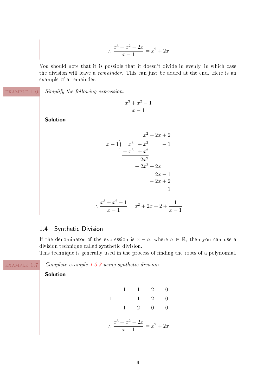$$
\therefore \frac{x^3 + x^2 - 2x}{x - 1} = x^2 + 2x
$$

You should note that it is possible that it doesn't divide in evenly, in which case the division will leave a remainder. This can just be added at the end. Here is an example of a remainder.

example 1.6

*Simplify the following expression:*

$$
\frac{x^3 + x^2 - 1}{x - 1}
$$

**Solution**

$$
\begin{array}{r} x^2 + 2x + 2 \\ x - 1 \overline{\smash) x^3 + x^2 - 1} \\ -x^3 + x^2 \\ \underline{2x^2} \\ -2x^2 + 2x \\ \underline{2x - 1} \\ -2x + 2 \\ 1 \\ \therefore \frac{x^3 + x^2 - 1}{x - 1} = x^2 + 2x + 2 + \frac{1}{x - 1} \end{array}
$$

# 1.4 Synthetic Division

If the denominator of the expression is  $x - a$ , where  $a \in \mathbb{R}$ , then you can use a division technique called synthetic division.

This technique is generally used in the process of finding the roots of a polynomial.

example 1.7

*Complete example [1.3.3](#page-4-0) using synthetic division.*

$$
1 \begin{array}{|rrrr} & 1 & -2 & 0 \\ \hline & 1 & 2 & 0 \\ \hline & 1 & 2 & 0 & 0 \\ \hline & & x-1 & x^2+2x \end{array}
$$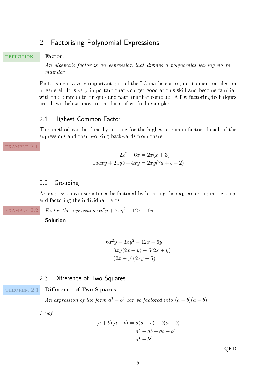# 2 Factorising Polynomial Expressions

# **DEFINITION**

### **Factor.**

An algebraic factor is an expression that divides a polynomial leaving no remainder.

Factorising is a very important part of the LC maths course, not to mention algebra in general. It is very important that you get good at this skill and become familiar with the common techniques and patterns that come up. A few factoring techniques are shown below, most in the form of worked examples.

# 2.1 Highest Common Factor

This method can be done by looking for the highest common factor of each of the expressions and then working backwards from there.

example 2.1

$$
2x2 + 6x = 2x(x+3)
$$
  

$$
15axy + 2xyb + 4xy = 2xy(7a+b+2)
$$

# 2.2 Grouping

An expression can sometimes be factored by breaking the expression up into groups and factoring the individual parts.

*Factor the expression*  $6x^2y + 3xy^2 - 12x - 6y$ example 2.2

**Solution**

$$
6x2y + 3xy2 - 12x - 6y
$$
  
= 3xy(2x + y) - 6(2x + y)  
= (2x + y)(2xy - 5)

# 2.3 Difference of Two Squares

#### **Difference of Two Squares.** THEOREM 2.1

An expression of the form  $a^2 - b^2$  can be factored into  $(a + b)(a - b)$ .

*Proof.*

$$
(a + b)(a - b) = a(a - b) + b(a - b)
$$
  
=  $a2 - ab + ab - b2$   
=  $a2 - b2$ 

QED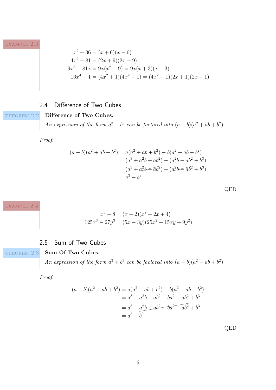example 2.3

$$
x^{2} - 36 = (x + 6)(x - 6)
$$
  
\n
$$
4x^{2} - 81 = (2x + 9)(2x - 9)
$$
  
\n
$$
9x^{3} - 81x = 9x(x^{2} - 9) = 9x(x + 3)(x - 3)
$$
  
\n
$$
16x^{4} - 1 = (4x^{2} + 1)(4x^{2} - 1) = (4x^{2} + 1)(2x + 1)(2x - 1)
$$

# 2.4 Difference of Two Cubes

THEOREM 2.2

# **Difference of Two Cubes.**

An expression of the form  $a^3 - b^3$  can be factored into  $(a - b)(a^2 + ab + b^2)$ 

*Proof.*

$$
(a - b)(a2 + ab + b2) = a(a2 + ab + b2) – b(a2 + ab + b2)
$$
  
= (a<sup>3</sup> + a<sup>2</sup>b + ab<sup>2</sup>) – (a<sup>2</sup>b + ab<sup>2</sup> + b<sup>3</sup>)  
= (a<sup>3</sup> + a<sup>2</sup>b + ab<sup>2</sup>) – (a<sup>2</sup>b + ab<sup>2</sup> + b<sup>3</sup>)  
= a<sup>3</sup> - b<sup>3</sup>

QED

example 2.4

$$
x^{3} - 8 = (x - 2)(x^{2} + 2x + 4)
$$
  

$$
125x^{3} - 27y^{3} = (5x - 3y)(25x^{2} + 15xy + 9y^{2})
$$

# 2.5 Sum of Two Cubes

THEOREM 2.3

### **Sum Of Two Cubes.**

An expression of the form  $a^3 + b^3$  can be factored into  $(a + b)(a^2 - ab + b^2)$ 

*Proof.*

$$
(a+b)(a2 - ab + b2) = a(a2 - ab + b2) + b(a2 - ab + b2)
$$
  
= a<sup>3</sup> - a<sup>2</sup>b + ab<sup>2</sup> + ba<sup>2</sup> - ab<sup>2</sup> + b<sup>3</sup>  
= a<sup>3</sup> - a<sup>2</sup>b + ab<sup>2</sup> + b<sup>2</sup> - ab<sup>2</sup> + b<sup>3</sup>  
= a<sup>3</sup> + b<sup>3</sup>

QED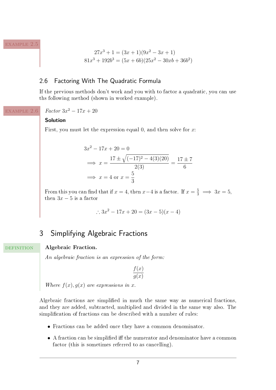example 2.5

$$
27x3 + 1 = (3x + 1)(9x2 – 3x + 1)
$$
  

$$
81x3 + 192b3 = (5x + 6b)(25x2 – 30xb + 36b2)
$$

# 2.6 Factoring With The Quadratic Formula

If the previous methods don't work and you with to factor a quadratic, you can use ths following method (shown in worked example).

*Factor*  $3x^2 - 17x + 20$ example 2.6

### **Solution**

First, you must let the expression equal 0, and then solve for *x*:

$$
3x2 - 17x + 20 = 0
$$
  
\n
$$
\implies x = \frac{17 \pm \sqrt{(-17)^{2} - 4(3)(20)}}{2(3)} = \frac{17 \pm 7}{6}
$$
  
\n
$$
\implies x = 4 \text{ or } x = \frac{5}{3}
$$

From this you can find that if  $x = 4$ , then  $x-4$  is a factor. If  $x = \frac{5}{3} \implies 3x = 5$ , then  $3x - 5$  is a factor

∴  $3x^2 - 17x + 20 = (3x - 5)(x - 4)$ 

# 3 Simplifying Algebraic Fractions

#### **Algebraic Fraction. DEFINITION**

An algebraic fraction is an expression of the form:

$$
\frac{f(x)}{g(x)}
$$

Where  $f(x)$ ,  $g(x)$  are expressions in *x*.

Algebraic fractions are simplified in much the same way as numerical fractions, and they are added, subtracted, multiplied and divided in the same way also. The simplification of fractions can be described with a number of rules:

- Fractions can be added once they have a common denominator.
- A fraction can be simplified iff the numerator and denominator have a common factor (this is sometimes referred to as cancelling).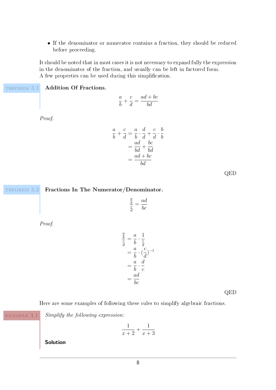• If the denominator or numerator contains a fraction, they should be reduced before proceeding.

It should be noted that in most cases it is not necessary to expand fully the expression in the denominator of the fraction, and usually can be left in factored form. A few properties can be used during this simplication.

THEOREM 3.1

**Addition Of Fractions.**

$$
\frac{a}{b} + \frac{c}{d} = \frac{ad + bc}{bd}
$$

*Proof.*

$$
\frac{a}{b} + \frac{c}{d} = \frac{a}{b} \cdot \frac{d}{d} + \frac{c}{d} \cdot \frac{b}{b}
$$

$$
= \frac{ad}{bd} + \frac{bc}{bd}
$$

$$
= \frac{ad + bc}{bd}
$$

QED

### THEOREM 3.2

# **Fractions In The Numerator/Denominator.**

$$
\frac{\frac{a}{b}}{\frac{c}{d}} = \frac{ad}{bc}
$$

*Proof.*

$$
\frac{\frac{a}{b}}{\frac{c}{d}} = \frac{a}{b} \cdot \frac{1}{\frac{c}{d}}
$$
\n
$$
= \frac{a}{b} \cdot \left(\frac{c}{d}\right)^{-1}
$$
\n
$$
= \frac{a}{b} \cdot \frac{d}{c}
$$
\n
$$
= \frac{ad}{bc}
$$

QED

Here are some examples of following these rules to simplify algebraic fractions.

example 3.1

*Simplify the following expression:*

$$
\frac{1}{x+2} + \frac{1}{x+3}
$$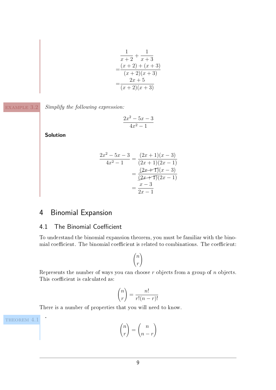$$
\frac{1}{x+2} + \frac{1}{x+3}
$$
  
= 
$$
\frac{(x+2) + (x+3)}{(x+2)(x+3)}
$$
  
= 
$$
\frac{2x+5}{(x+2)(x+3)}
$$

example 3.2

*Simplify the following expression:*

$$
\frac{2x^2 - 5x - 3}{4x^2 - 1}
$$

**Solution**

$$
\frac{2x^2 - 5x - 3}{4x^2 - 1} = \frac{(2x + 1)(x - 3)}{(2x + 1)(2x - 1)}
$$

$$
= \frac{(2x + 1)(x - 3)}{(2x + 1)(2x - 1)}
$$

$$
= \frac{x - 3}{2x - 1}
$$

# 4 Binomial Expansion

# 4.1 The Binomial Coefficient

To understand the binomial expansion theorem, you must be familiar with the binomial coefficient. The binomial coefficient is related to combinations. The coefficient:

$$
\binom{n}{r}
$$

Represents the number of ways you can choose *r* objects from a group of *n* objects. This coefficient is calculated as:

$$
\binom{n}{r} = \frac{n!}{r!(n-r)!}
$$

There is a number of properties that you will need to know.

THEOREM 4.1

**.**

 *n r*  $\setminus$ = *n n* − *r*  $\setminus$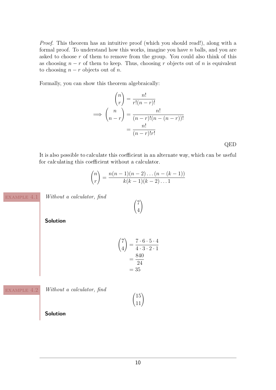*Proof.* This theorem has an intuitive proof (which you should read!), along with a formal proof. To understand how this works, imagine you have *n* balls, and you are asked to choose *r* of them to remove from the group. You could also think of this as choosing  $n - r$  of them to keep. Thus, choosing *r* objects out of *n* is equivalent to choosing  $n - r$  objects out of *n*.

Formally, you can show this theorem algebraically:

$$
\binom{n}{r} = \frac{n!}{r!(n-r)!}
$$
\n
$$
\implies \binom{n}{n-r} = \frac{n!}{(n-r)!(n-(n-r))!}
$$
\n
$$
= \frac{n!}{(n-r)!r!}
$$
\nQED

It is also possible to calculate this coefficient in an alternate way, which can be useful for calculating this coefficient without a calculator.

$$
\binom{n}{r} = \frac{n(n-1)(n-2)\dots(n-(k-1))}{k(k-1)(k-2)\dots1}
$$

 $\sqrt{7}$ 4  $\setminus$ 

example 4.1

*Without a calculator, find*

**Solution**

$$
\binom{7}{4} = \frac{7 \cdot 6 \cdot 5 \cdot 4}{4 \cdot 3 \cdot 2 \cdot 1}
$$

$$
= \frac{840}{24}
$$

$$
= 35
$$

example 4.2

*Without a calculator, find*

 $(15$ .<br>11.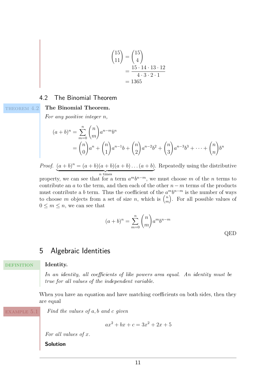$$
\binom{15}{11} = \binom{15}{4} \\
 = \frac{15 \cdot 14 \cdot 13 \cdot 12}{4 \cdot 3 \cdot 2 \cdot 1} \\
 = 1365
$$

# 4.2 The Binomial Theorem

### THEOREM 4.2

### **The Binomial Theorem.**

For any positive integer *n*,

$$
(a+b)^n = \sum_{m=0}^n \binom{n}{m} a^{n-m} b^n
$$
  
=  $\binom{n}{0} a^n + \binom{n}{1} a^{n-1} b + \binom{n}{2} a^{n-2} b^2 + \binom{n}{3} a^{n-3} b^3 + \dots + \binom{n}{n} b^n$ 

*Proof.*  $(a + b)^n = (a + b)(a + b)(a + b) \dots (a + b)$  $\overline{n}$  times . Repeatedly using the distributive

property, we can see that for a term  $a^m b^{n-m}$ , we must choose *m* of the *n* terms to contribute an *a* to the term, and then each of the other *n*− *m* terms of the products must contribute a *b* term. Thus the coefficient of the  $a^m b^{n-m}$  is the number of ways to choose *m* objects from a set of size *n*, which is  $\binom{n}{m}$ *m* . For all possible values of  $0 \leq m \leq n$ , we can see that

$$
(a+b)^n = \sum_{m=0}^n \binom{n}{m} a^m b^{n-m}
$$
 QED

# 5 Algebraic Identities

#### **Identity. DEFINITION**

In an identity, all coefficients of like powers area equal. An identity must be true for all values of the independent variable.

When you have an equation and have matching coefficients on both sides, then they are equal

example 5.1

*Find the values of a, b and c given*

$$
ax^2 + bx + c = 3x^2 + 2x + 5
$$

*For all values of x.*